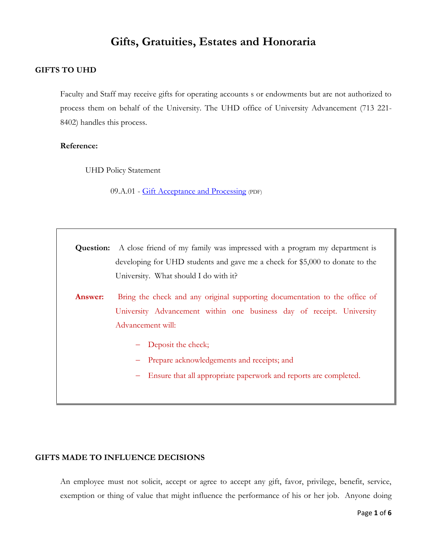## **Gifts, Gratuities, Estates and Honoraria**

### **GIFTS TO UHD**

Faculty and Staff may receive gifts for operating accounts s or endowments but are not authorized to process them on behalf of the University. The UHD office of University Advancement (713 221- 8402) handles this process.

### **Reference:**

UHD Policy Statement

09.A.01 - [Gift Acceptance and Processing](http://www.uhd.edu/about/hr/PS09A01.pdf) (PDF)

**Question:** A close friend of my family was impressed with a program my department is developing for UHD students and gave me a check for \$5,000 to donate to the University. What should I do with it?

Answer: Bring the check and any original supporting documentation to the office of University Advancement within one business day of receipt. University Advancement will:

- Deposit the check;
- Prepare acknowledgements and receipts; and
- Ensure that all appropriate paperwork and reports are completed.

### **GIFTS MADE TO INFLUENCE DECISIONS**

An employee must not solicit, accept or agree to accept any gift, favor, privilege, benefit, service, exemption or thing of value that might influence the performance of his or her job. Anyone doing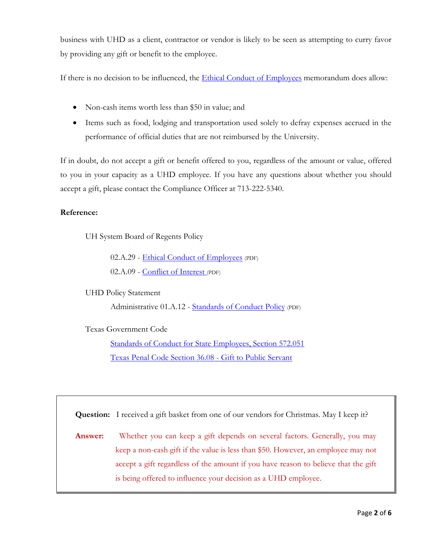business with UHD as a client, contractor or vendor is likely to be seen as attempting to curry favor by providing any gift or benefit to the employee.

If there is no decision to be influenced, the [Ethical Conduct of Employees](http://www.uh.edu/af/universityservices/policies/sam/2HumanResources/2A29.pdf) memorandum does allow:

- Non-cash items worth less than \$50 in value; and
- Items such as food, lodging and transportation used solely to defray expenses accrued in the performance of official duties that are not reimbursed by the University.

If in doubt, do not accept a gift or benefit offered to you, regardless of the amount or value, offered to you in your capacity as a UHD employee. If you have any questions about whether you should accept a gift, please contact the Compliance Officer at 713-222-5340.

### **Reference:**

UH System Board of Regents Policy

02.A.29 - [Ethical Conduct of Employees](http://www.uhsa.uh.edu/sam/2HumanResources/2A29.pdf) (PDF) 02.A.09 - [Conflict of Interest](http://www.uh.edu/af/universityservices/policies/sam/2HumanResources/2A9.pdf) (PDF)

UHD Policy Statement

Administrative 01.A.12 - [Standards of Conduct Policy](http://www.uhd.edu/about/hr/PS01A12.pdf) (PDF)

Texas Government Code

[Standards of Conduct for State Employees, Section 572.051](http://www.ethics.state.tx.us/statutes/05ch572.htm#572.051) [Texas Penal Code Section 36.08 -](http://law.onecle.com/texas/penal/36.08.00.html) Gift to Public Servant

**Question:** I received a gift basket from one of our vendors for Christmas. May I keep it?

**Answer:** Whether you can keep a gift depends on several factors. Generally, you may keep a non-cash gift if the value is less than \$50. However, an employee may not accept a gift regardless of the amount if you have reason to believe that the gift is being offered to influence your decision as a UHD employee.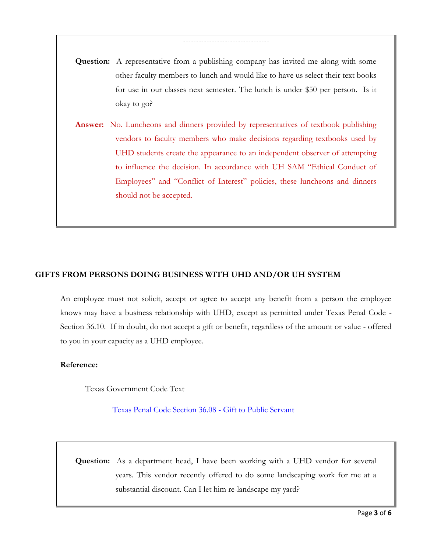# **Question:** A representative from a publishing company has invited me along with some other faculty members to lunch and would like to have us select their text books for use in our classes next semester. The lunch is under \$50 per person. Is it okay to go?

---------------------------------

**Answer:** No. Luncheons and dinners provided by representatives of textbook publishing vendors to faculty members who make decisions regarding textbooks used by UHD students create the appearance to an independent observer of attempting to influence the decision. In accordance with UH SAM "Ethical Conduct of Employees" and "Conflict of Interest" policies, these luncheons and dinners should not be accepted.

### **GIFTS FROM PERSONS DOING BUSINESS WITH UHD AND/OR UH SYSTEM**

An employee must not solicit, accept or agree to accept any benefit from a person the employee knows may have a business relationship with UHD, except as permitted under Texas Penal Code - Section 36.10. If in doubt, do not accept a gift or benefit, regardless of the amount or value - offered to you in your capacity as a UHD employee.

### **Reference:**

Texas Government Code Text

[Texas Penal Code Section 36.08 -](http://law.onecle.com/texas/penal/36.08.00.html) Gift to Public Servant

**Question:** As a department head, I have been working with a UHD vendor for several years. This vendor recently offered to do some landscaping work for me at a substantial discount. Can I let him re-landscape my yard?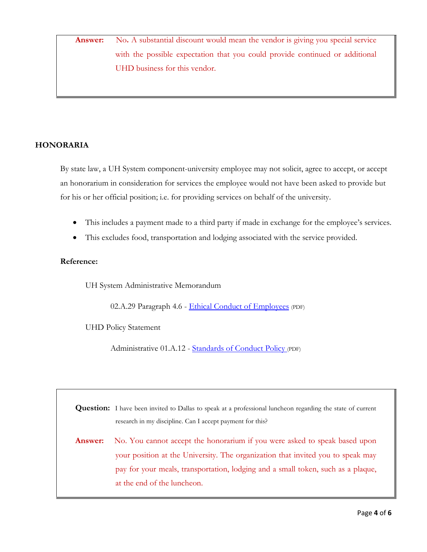**Answer:** No. A substantial discount would mean the vendor is giving you special service with the possible expectation that you could provide continued or additional UHD business for this vendor.

### **HONORARIA**

By state law, a UH System component-university employee may not solicit, agree to accept, or accept an honorarium in consideration for services the employee would not have been asked to provide but for his or her official position; i.e. for providing services on behalf of the university.

- This includes a payment made to a third party if made in exchange for the employee's services.
- This excludes food, transportation and lodging associated with the service provided.

### **Reference:**

UH System Administrative Memorandum

02.A.29 Paragraph 4.6 - [Ethical Conduct of Employees](http://www.uhsa.uh.edu/sam/2HumanResources/2A29.pdf) (PDF)

UHD Policy Statement

Administrative 01.A.12 - [Standards of Conduct Policy](http://www.uhd.edu/about/hr/PS01A12.pdf) (PDF)

**Question:** I have been invited to Dallas to speak at a professional luncheon regarding the state of current research in my discipline. Can I accept payment for this?

**Answer:** No. You cannot accept the honorarium if you were asked to speak based upon your position at the University. The organization that invited you to speak may pay for your meals, transportation, lodging and a small token, such as a plaque, at the end of the luncheon.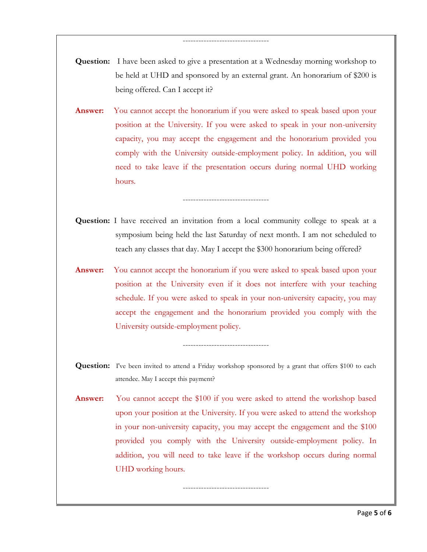**Question:** I have been asked to give a presentation at a Wednesday morning workshop to be held at UHD and sponsored by an external grant. An honorarium of \$200 is being offered. Can I accept it?

---------------------------------

**Answer:** You cannot accept the honorarium if you were asked to speak based upon your position at the University. If you were asked to speak in your non-university capacity, you may accept the engagement and the honorarium provided you comply with the University outside-employment policy. In addition, you will need to take leave if the presentation occurs during normal UHD working hours.

**Question:** I have received an invitation from a local community college to speak at a symposium being held the last Saturday of next month. I am not scheduled to teach any classes that day. May I accept the \$300 honorarium being offered?

---------------------------------

**Answer:** You cannot accept the honorarium if you were asked to speak based upon your position at the University even if it does not interfere with your teaching schedule. If you were asked to speak in your non-university capacity, you may accept the engagement and the honorarium provided you comply with the University outside-employment policy.

**Question:** I've been invited to attend a Friday workshop sponsored by a grant that offers \$100 to each attendee. May I accept this payment?

---------------------------------

Answer: You cannot accept the \$100 if you were asked to attend the workshop based upon your position at the University. If you were asked to attend the workshop in your non-university capacity, you may accept the engagement and the \$100 provided you comply with the University outside-employment policy. In addition, you will need to take leave if the workshop occurs during normal UHD working hours.

---------------------------------